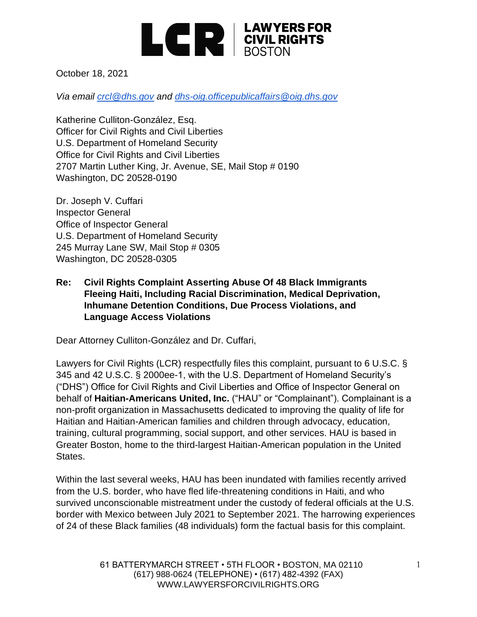

October 18, 2021

*Via email [crcl@dhs.gov](mailto:crcl@dhs.gov) and [dhs-oig.officepublicaffairs@oig.dhs.gov](mailto:dhs-oig.officepublicaffairs@oig.dhs.gov)*

Katherine Culliton-González, Esq. Officer for Civil Rights and Civil Liberties U.S. Department of Homeland Security Office for Civil Rights and Civil Liberties 2707 Martin Luther King, Jr. Avenue, SE, Mail Stop # 0190 Washington, DC 20528-0190

Dr. Joseph V. Cuffari Inspector General Office of Inspector General U.S. Department of Homeland Security 245 Murray Lane SW, Mail Stop # 0305 Washington, DC 20528-0305

#### **Re: Civil Rights Complaint Asserting Abuse Of 48 Black Immigrants Fleeing Haiti, Including Racial Discrimination, Medical Deprivation, Inhumane Detention Conditions, Due Process Violations, and Language Access Violations**

Dear Attorney Culliton-González and Dr. Cuffari,

Lawyers for Civil Rights (LCR) respectfully files this complaint, pursuant to 6 U.S.C. § 345 and 42 U.S.C. § 2000ee-1, with the U.S. Department of Homeland Security's ("DHS") Office for Civil Rights and Civil Liberties and Office of Inspector General on behalf of **Haitian-Americans United, Inc.** ("HAU" or "Complainant"). Complainant is a non-profit organization in Massachusetts dedicated to improving the quality of life for Haitian and Haitian-American families and children through advocacy, education, training, cultural programming, social support, and other services. HAU is based in Greater Boston, home to the third-largest Haitian-American population in the United States.

Within the last several weeks, HAU has been inundated with families recently arrived from the U.S. border, who have fled life-threatening conditions in Haiti, and who survived unconscionable mistreatment under the custody of federal officials at the U.S. border with Mexico between July 2021 to September 2021. The harrowing experiences of 24 of these Black families (48 individuals) form the factual basis for this complaint.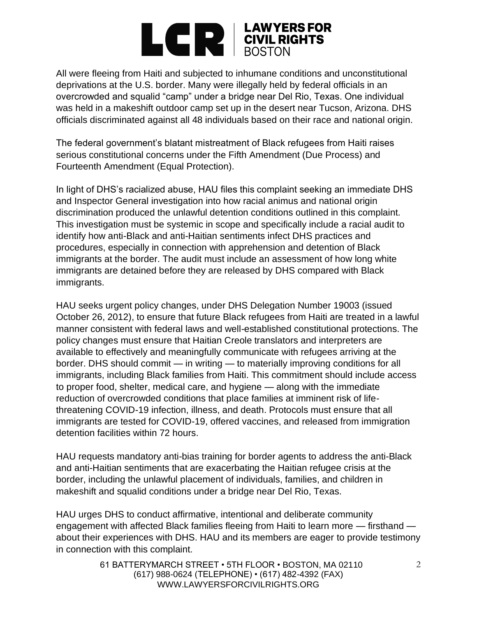

All were fleeing from Haiti and subjected to inhumane conditions and unconstitutional deprivations at the U.S. border. Many were illegally held by federal officials in an overcrowded and squalid "camp" under a bridge near Del Rio, Texas. One individual was held in a makeshift outdoor camp set up in the desert near Tucson, Arizona. DHS officials discriminated against all 48 individuals based on their race and national origin.

The federal government's blatant mistreatment of Black refugees from Haiti raises serious constitutional concerns under the Fifth Amendment (Due Process) and Fourteenth Amendment (Equal Protection).

In light of DHS's racialized abuse, HAU files this complaint seeking an immediate DHS and Inspector General investigation into how racial animus and national origin discrimination produced the unlawful detention conditions outlined in this complaint. This investigation must be systemic in scope and specifically include a racial audit to identify how anti-Black and anti-Haitian sentiments infect DHS practices and procedures, especially in connection with apprehension and detention of Black immigrants at the border. The audit must include an assessment of how long white immigrants are detained before they are released by DHS compared with Black immigrants.

HAU seeks urgent policy changes, under DHS Delegation Number 19003 (issued October 26, 2012), to ensure that future Black refugees from Haiti are treated in a lawful manner consistent with federal laws and well-established constitutional protections. The policy changes must ensure that Haitian Creole translators and interpreters are available to effectively and meaningfully communicate with refugees arriving at the border. DHS should commit — in writing — to materially improving conditions for all immigrants, including Black families from Haiti. This commitment should include access to proper food, shelter, medical care, and hygiene — along with the immediate reduction of overcrowded conditions that place families at imminent risk of lifethreatening COVID-19 infection, illness, and death. Protocols must ensure that all immigrants are tested for COVID-19, offered vaccines, and released from immigration detention facilities within 72 hours.

HAU requests mandatory anti-bias training for border agents to address the anti-Black and anti-Haitian sentiments that are exacerbating the Haitian refugee crisis at the border, including the unlawful placement of individuals, families, and children in makeshift and squalid conditions under a bridge near Del Rio, Texas.

HAU urges DHS to conduct affirmative, intentional and deliberate community engagement with affected Black families fleeing from Haiti to learn more — firsthand about their experiences with DHS. HAU and its members are eager to provide testimony in connection with this complaint.

> 61 BATTERYMARCH STREET • 5TH FLOOR • BOSTON, MA 02110 (617) 988-0624 (TELEPHONE) • (617) 482-4392 (FAX) WWW.LAWYERSFORCIVILRIGHTS.ORG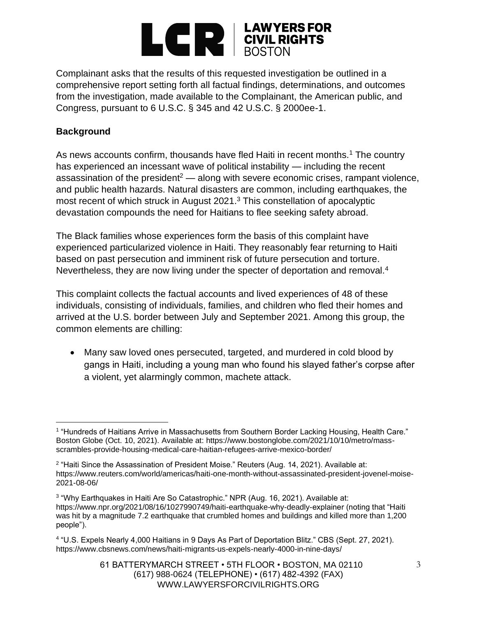

Complainant asks that the results of this requested investigation be outlined in a comprehensive report setting forth all factual findings, determinations, and outcomes from the investigation, made available to the Complainant, the American public, and Congress, pursuant to 6 U.S.C. § 345 and 42 U.S.C. § 2000ee-1.

### **Background**

As news accounts confirm, thousands have fled Haiti in recent months.<sup>1</sup> The country has experienced an incessant wave of political instability — including the recent assassination of the president<sup>2</sup> — along with severe economic crises, rampant violence, and public health hazards. Natural disasters are common, including earthquakes, the most recent of which struck in August 2021.<sup>3</sup> This constellation of apocalyptic devastation compounds the need for Haitians to flee seeking safety abroad.

The Black families whose experiences form the basis of this complaint have experienced particularized violence in Haiti. They reasonably fear returning to Haiti based on past persecution and imminent risk of future persecution and torture. Nevertheless, they are now living under the specter of deportation and removal.<sup>4</sup>

This complaint collects the factual accounts and lived experiences of 48 of these individuals, consisting of individuals, families, and children who fled their homes and arrived at the U.S. border between July and September 2021. Among this group, the common elements are chilling:

• Many saw loved ones persecuted, targeted, and murdered in cold blood by gangs in Haiti, including a young man who found his slayed father's corpse after a violent, yet alarmingly common, machete attack.

<sup>&</sup>lt;sup>1</sup> "Hundreds of Haitians Arrive in Massachusetts from Southern Border Lacking Housing, Health Care." Boston Globe (Oct. 10, 2021). Available at: https://www.bostonglobe.com/2021/10/10/metro/massscrambles-provide-housing-medical-care-haitian-refugees-arrive-mexico-border/

<sup>&</sup>lt;sup>2</sup> "Haiti Since the Assassination of President Moise." Reuters (Aug. 14, 2021). Available at: https://www.reuters.com/world/americas/haiti-one-month-without-assassinated-president-jovenel-moise-2021-08-06/

<sup>&</sup>lt;sup>3</sup> "Why Earthquakes in Haiti Are So Catastrophic." NPR (Aug. 16, 2021). Available at: https://www.npr.org/2021/08/16/1027990749/haiti-earthquake-why-deadly-explainer (noting that "Haiti was hit by a magnitude 7.2 earthquake that crumbled homes and buildings and killed more than 1,200 people").

<sup>4</sup> "U.S. Expels Nearly 4,000 Haitians in 9 Days As Part of Deportation Blitz." CBS (Sept. 27, 2021). https://www.cbsnews.com/news/haiti-migrants-us-expels-nearly-4000-in-nine-days/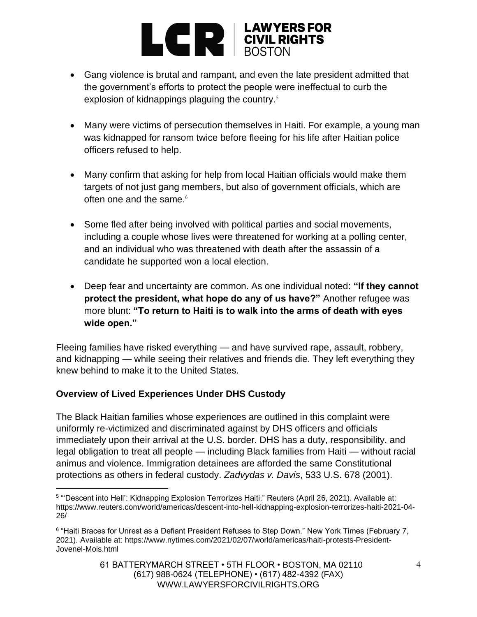

- Gang violence is brutal and rampant, and even the late president admitted that the government's efforts to protect the people were ineffectual to curb the explosion of kidnappings plaguing the country.<sup>5</sup>
- Many were victims of persecution themselves in Haiti. For example, a young man was kidnapped for ransom twice before fleeing for his life after Haitian police officers refused to help.
- Many confirm that asking for help from local Haitian officials would make them targets of not just gang members, but also of government officials, which are often one and the same. $6$
- Some fled after being involved with political parties and social movements, including a couple whose lives were threatened for working at a polling center, and an individual who was threatened with death after the assassin of a candidate he supported won a local election.
- Deep fear and uncertainty are common. As one individual noted: **"If they cannot protect the president, what hope do any of us have?"** Another refugee was more blunt: **"To return to Haiti is to walk into the arms of death with eyes wide open."**

Fleeing families have risked everything — and have survived rape, assault, robbery, and kidnapping — while seeing their relatives and friends die. They left everything they knew behind to make it to the United States.

## **Overview of Lived Experiences Under DHS Custody**

The Black Haitian families whose experiences are outlined in this complaint were uniformly re-victimized and discriminated against by DHS officers and officials immediately upon their arrival at the U.S. border. DHS has a duty, responsibility, and legal obligation to treat all people — including Black families from Haiti — without racial animus and violence. Immigration detainees are afforded the same Constitutional protections as others in federal custody. *Zadvydas v. Davis*, 533 U.S. 678 (2001).

<sup>5</sup> "'Descent into Hell': Kidnapping Explosion Terrorizes Haiti." Reuters (April 26, 2021). Available at: https://www.reuters.com/world/americas/descent-into-hell-kidnapping-explosion-terrorizes-haiti-2021-04- 26/

<sup>&</sup>lt;sup>6</sup> "Haiti Braces for Unrest as a Defiant President Refuses to Step Down." New York Times (February 7, 2021). Available at: https://www.nytimes.com/2021/02/07/world/americas/haiti-protests-President-Jovenel-Mois.html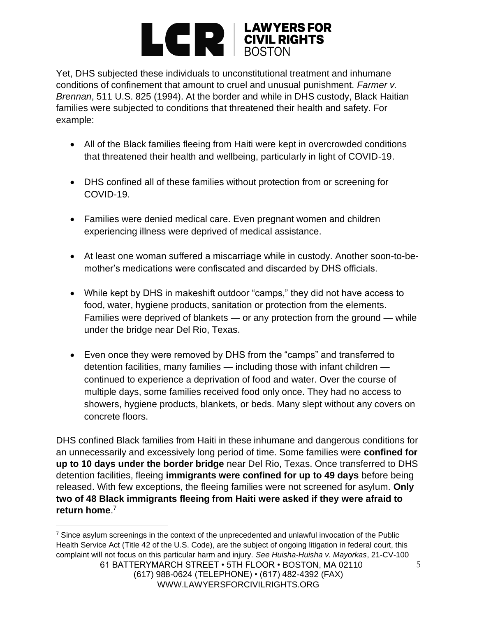# **EXPERIMENTS** EQUIPMENTS

Yet, DHS subjected these individuals to unconstitutional treatment and inhumane conditions of confinement that amount to cruel and unusual punishment. *Farmer v. Brennan*, 511 U.S. 825 (1994). At the border and while in DHS custody, Black Haitian families were subjected to conditions that threatened their health and safety. For example:

- All of the Black families fleeing from Haiti were kept in overcrowded conditions that threatened their health and wellbeing, particularly in light of COVID-19.
- DHS confined all of these families without protection from or screening for COVID-19.
- Families were denied medical care. Even pregnant women and children experiencing illness were deprived of medical assistance.
- At least one woman suffered a miscarriage while in custody. Another soon-to-bemother's medications were confiscated and discarded by DHS officials.
- While kept by DHS in makeshift outdoor "camps," they did not have access to food, water, hygiene products, sanitation or protection from the elements. Families were deprived of blankets — or any protection from the ground — while under the bridge near Del Rio, Texas.
- Even once they were removed by DHS from the "camps" and transferred to detention facilities, many families — including those with infant children continued to experience a deprivation of food and water. Over the course of multiple days, some families received food only once. They had no access to showers, hygiene products, blankets, or beds. Many slept without any covers on concrete floors.

DHS confined Black families from Haiti in these inhumane and dangerous conditions for an unnecessarily and excessively long period of time. Some families were **confined for up to 10 days under the border bridge** near Del Rio, Texas. Once transferred to DHS detention facilities, fleeing **immigrants were confined for up to 49 days** before being released. With few exceptions, the fleeing families were not screened for asylum. **Only two of 48 Black immigrants fleeing from Haiti were asked if they were afraid to return home**. 7

<sup>&</sup>lt;sup>7</sup> Since asylum screenings in the context of the unprecedented and unlawful invocation of the Public Health Service Act (Title 42 of the U.S. Code), are the subject of ongoing litigation in federal court, this complaint will not focus on this particular harm and injury. *See Huisha-Huisha v. Mayorkas*, 21-CV-100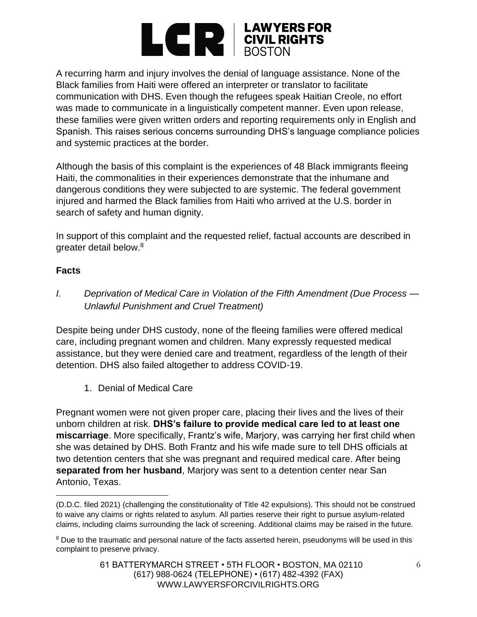

A recurring harm and injury involves the denial of language assistance. None of the Black families from Haiti were offered an interpreter or translator to facilitate communication with DHS. Even though the refugees speak Haitian Creole, no effort was made to communicate in a linguistically competent manner. Even upon release, these families were given written orders and reporting requirements only in English and Spanish. This raises serious concerns surrounding DHS's language compliance policies and systemic practices at the border.

Although the basis of this complaint is the experiences of 48 Black immigrants fleeing Haiti, the commonalities in their experiences demonstrate that the inhumane and dangerous conditions they were subjected to are systemic. The federal government injured and harmed the Black families from Haiti who arrived at the U.S. border in search of safety and human dignity.

In support of this complaint and the requested relief, factual accounts are described in greater detail below.<sup>8</sup>

#### **Facts**

*I. Deprivation of Medical Care in Violation of the Fifth Amendment (Due Process — Unlawful Punishment and Cruel Treatment)*

Despite being under DHS custody, none of the fleeing families were offered medical care, including pregnant women and children. Many expressly requested medical assistance, but they were denied care and treatment, regardless of the length of their detention. DHS also failed altogether to address COVID-19.

1. Denial of Medical Care

Pregnant women were not given proper care, placing their lives and the lives of their unborn children at risk. **DHS's failure to provide medical care led to at least one miscarriage**. More specifically, Frantz's wife, Marjory, was carrying her first child when she was detained by DHS. Both Frantz and his wife made sure to tell DHS officials at two detention centers that she was pregnant and required medical care. After being **separated from her husband**, Marjory was sent to a detention center near San Antonio, Texas.

<sup>(</sup>D.D.C. filed 2021) (challenging the constitutionality of Title 42 expulsions). This should not be construed to waive any claims or rights related to asylum. All parties reserve their right to pursue asylum-related claims, including claims surrounding the lack of screening. Additional claims may be raised in the future.

<sup>&</sup>lt;sup>8</sup> Due to the traumatic and personal nature of the facts asserted herein, pseudonyms will be used in this complaint to preserve privacy.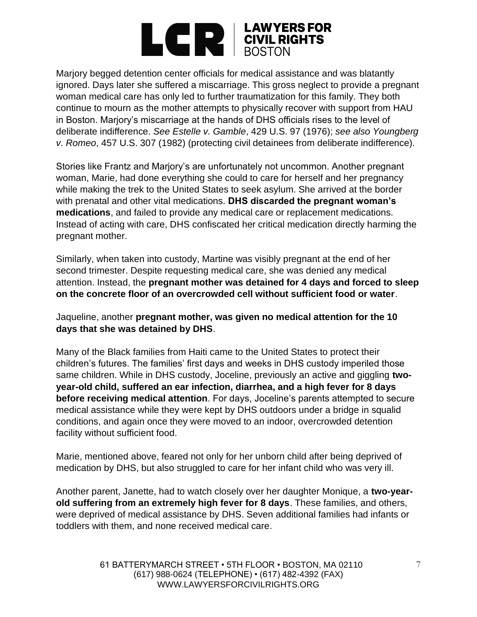

Marjory begged detention center officials for medical assistance and was blatantly ignored. Days later she suffered a miscarriage. This gross neglect to provide a pregnant woman medical care has only led to further traumatization for this family. They both continue to mourn as the mother attempts to physically recover with support from HAU in Boston. Marjory's miscarriage at the hands of DHS officials rises to the level of deliberate indifference. *See Estelle v. Gamble*, 429 U.S. 97 (1976); *see also Youngberg v. Romeo*, 457 U.S. 307 (1982) (protecting civil detainees from deliberate indifference).

Stories like Frantz and Marjory's are unfortunately not uncommon. Another pregnant woman, Marie, had done everything she could to care for herself and her pregnancy while making the trek to the United States to seek asylum. She arrived at the border with prenatal and other vital medications. **DHS discarded the pregnant woman's medications**, and failed to provide any medical care or replacement medications. Instead of acting with care, DHS confiscated her critical medication directly harming the pregnant mother.

Similarly, when taken into custody, Martine was visibly pregnant at the end of her second trimester. Despite requesting medical care, she was denied any medical attention. Instead, the **pregnant mother was detained for 4 days and forced to sleep on the concrete floor of an overcrowded cell without sufficient food or water**.

Jaqueline, another **pregnant mother, was given no medical attention for the 10 days that she was detained by DHS**.

Many of the Black families from Haiti came to the United States to protect their children's futures. The families' first days and weeks in DHS custody imperiled those same children. While in DHS custody, Joceline, previously an active and giggling **twoyear-old child, suffered an ear infection, diarrhea, and a high fever for 8 days before receiving medical attention**. For days, Joceline's parents attempted to secure medical assistance while they were kept by DHS outdoors under a bridge in squalid conditions, and again once they were moved to an indoor, overcrowded detention facility without sufficient food.

Marie, mentioned above, feared not only for her unborn child after being deprived of medication by DHS, but also struggled to care for her infant child who was very ill.

Another parent, Janette, had to watch closely over her daughter Monique, a **two-yearold suffering from an extremely high fever for 8 days**. These families, and others, were deprived of medical assistance by DHS. Seven additional families had infants or toddlers with them, and none received medical care.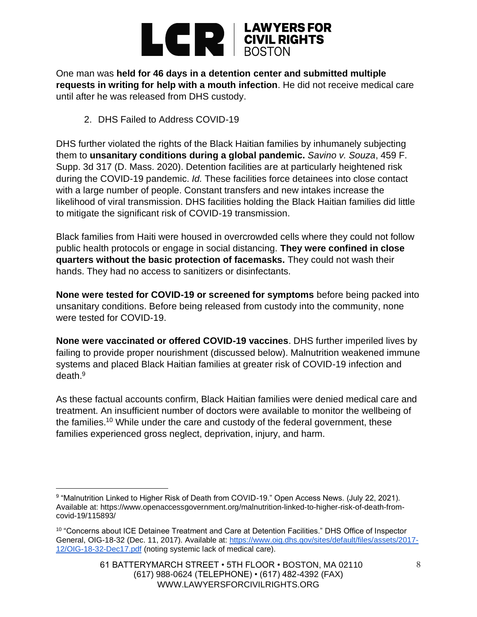

One man was **held for 46 days in a detention center and submitted multiple requests in writing for help with a mouth infection**. He did not receive medical care until after he was released from DHS custody.

2. DHS Failed to Address COVID-19

DHS further violated the rights of the Black Haitian families by inhumanely subjecting them to **unsanitary conditions during a global pandemic.** *Savino v. Souza*, 459 F. Supp. 3d 317 (D. Mass. 2020). Detention facilities are at particularly heightened risk during the COVID-19 pandemic. *Id.* These facilities force detainees into close contact with a large number of people. Constant transfers and new intakes increase the likelihood of viral transmission. DHS facilities holding the Black Haitian families did little to mitigate the significant risk of COVID-19 transmission.

Black families from Haiti were housed in overcrowded cells where they could not follow public health protocols or engage in social distancing. **They were confined in close quarters without the basic protection of facemasks.** They could not wash their hands. They had no access to sanitizers or disinfectants.

**None were tested for COVID-19 or screened for symptoms** before being packed into unsanitary conditions. Before being released from custody into the community, none were tested for COVID-19.

**None were vaccinated or offered COVID-19 vaccines**. DHS further imperiled lives by failing to provide proper nourishment (discussed below). Malnutrition weakened immune systems and placed Black Haitian families at greater risk of COVID-19 infection and death.<sup>9</sup>

As these factual accounts confirm, Black Haitian families were denied medical care and treatment. An insufficient number of doctors were available to monitor the wellbeing of the families.<sup>10</sup> While under the care and custody of the federal government, these families experienced gross neglect, deprivation, injury, and harm.

<sup>&</sup>lt;sup>9</sup> "Malnutrition Linked to Higher Risk of Death from COVID-19." Open Access News. (July 22, 2021). Available at: https://www.openaccessgovernment.org/malnutrition-linked-to-higher-risk-of-death-fromcovid-19/115893/

<sup>&</sup>lt;sup>10</sup> "Concerns about ICE Detainee Treatment and Care at Detention Facilities." DHS Office of Inspector General, OIG-18-32 (Dec. 11, 2017). Available at: [https://www.oig.dhs.gov/sites/default/files/assets/2017-](https://www.oig.dhs.gov/sites/default/files/assets/2017-12/OIG-18-32-Dec17.pdf) [12/OIG-18-32-Dec17.pdf](https://www.oig.dhs.gov/sites/default/files/assets/2017-12/OIG-18-32-Dec17.pdf) (noting systemic lack of medical care).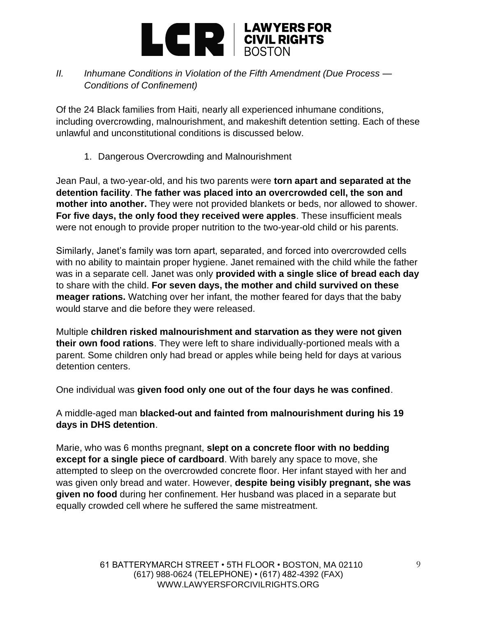

## *II. Inhumane Conditions in Violation of the Fifth Amendment (Due Process — Conditions of Confinement)*

Of the 24 Black families from Haiti, nearly all experienced inhumane conditions, including overcrowding, malnourishment, and makeshift detention setting. Each of these unlawful and unconstitutional conditions is discussed below.

1. Dangerous Overcrowding and Malnourishment

Jean Paul, a two-year-old, and his two parents were **torn apart and separated at the detention facility**. **The father was placed into an overcrowded cell, the son and mother into another.** They were not provided blankets or beds, nor allowed to shower. **For five days, the only food they received were apples**. These insufficient meals were not enough to provide proper nutrition to the two-year-old child or his parents.

Similarly, Janet's family was torn apart, separated, and forced into overcrowded cells with no ability to maintain proper hygiene. Janet remained with the child while the father was in a separate cell. Janet was only **provided with a single slice of bread each day**  to share with the child. **For seven days, the mother and child survived on these meager rations.** Watching over her infant, the mother feared for days that the baby would starve and die before they were released.

Multiple **children risked malnourishment and starvation as they were not given their own food rations**. They were left to share individually-portioned meals with a parent. Some children only had bread or apples while being held for days at various detention centers.

One individual was **given food only one out of the four days he was confined**.

A middle-aged man **blacked-out and fainted from malnourishment during his 19 days in DHS detention**.

Marie, who was 6 months pregnant, **slept on a concrete floor with no bedding except for a single piece of cardboard**. With barely any space to move, she attempted to sleep on the overcrowded concrete floor. Her infant stayed with her and was given only bread and water. However, **despite being visibly pregnant, she was given no food** during her confinement. Her husband was placed in a separate but equally crowded cell where he suffered the same mistreatment.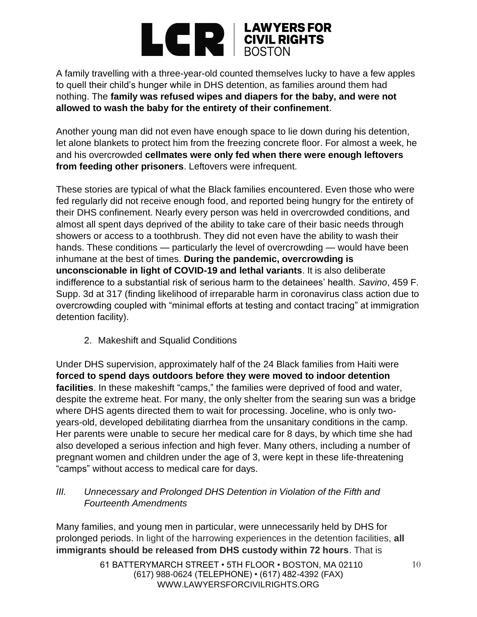

A family travelling with a three-year-old counted themselves lucky to have a few apples to quell their child's hunger while in DHS detention, as families around them had nothing. The **family was refused wipes and diapers for the baby, and were not allowed to wash the baby for the entirety of their confinement**.

Another young man did not even have enough space to lie down during his detention, let alone blankets to protect him from the freezing concrete floor. For almost a week, he and his overcrowded **cellmates were only fed when there were enough leftovers from feeding other prisoners**. Leftovers were infrequent.

These stories are typical of what the Black families encountered. Even those who were fed regularly did not receive enough food, and reported being hungry for the entirety of their DHS confinement. Nearly every person was held in overcrowded conditions, and almost all spent days deprived of the ability to take care of their basic needs through showers or access to a toothbrush. They did not even have the ability to wash their hands. These conditions — particularly the level of overcrowding — would have been inhumane at the best of times. **During the pandemic, overcrowding is unconscionable in light of COVID-19 and lethal variants**. It is also deliberate indifference to a substantial risk of serious harm to the detainees' health. *Savino*, 459 F. Supp. 3d at 317 (finding likelihood of irreparable harm in coronavirus class action due to overcrowding coupled with "minimal efforts at testing and contact tracing" at immigration detention facility).

2. Makeshift and Squalid Conditions

Under DHS supervision, approximately half of the 24 Black families from Haiti were **forced to spend days outdoors before they were moved to indoor detention facilities**. In these makeshift "camps," the families were deprived of food and water, despite the extreme heat. For many, the only shelter from the searing sun was a bridge where DHS agents directed them to wait for processing. Joceline, who is only twoyears-old, developed debilitating diarrhea from the unsanitary conditions in the camp. Her parents were unable to secure her medical care for 8 days, by which time she had also developed a serious infection and high fever. Many others, including a number of pregnant women and children under the age of 3, were kept in these life-threatening "camps" without access to medical care for days.

#### *III. Unnecessary and Prolonged DHS Detention in Violation of the Fifth and Fourteenth Amendments*

Many families, and young men in particular, were unnecessarily held by DHS for prolonged periods. In light of the harrowing experiences in the detention facilities, **all immigrants should be released from DHS custody within 72 hours**. That is

> 61 BATTERYMARCH STREET • 5TH FLOOR • BOSTON, MA 02110 (617) 988-0624 (TELEPHONE) • (617) 482-4392 (FAX) WWW.LAWYERSFORCIVILRIGHTS.ORG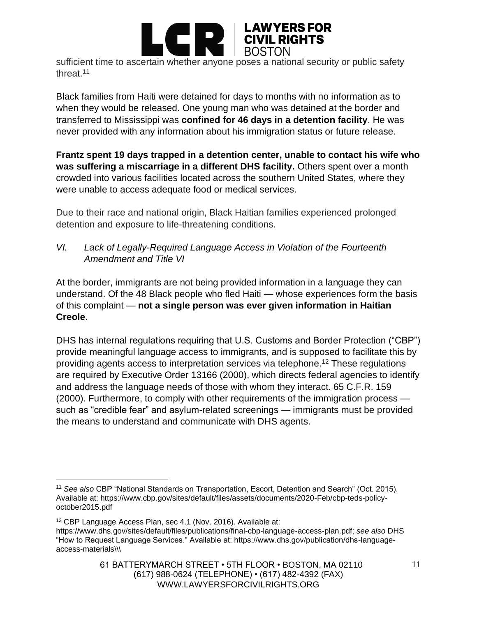

sufficient time to ascertain whether anyone poses a national security or public safety threat.<sup>11</sup>

Black families from Haiti were detained for days to months with no information as to when they would be released. One young man who was detained at the border and transferred to Mississippi was **confined for 46 days in a detention facility**. He was never provided with any information about his immigration status or future release.

**Frantz spent 19 days trapped in a detention center, unable to contact his wife who was suffering a miscarriage in a different DHS facility.** Others spent over a month crowded into various facilities located across the southern United States, where they were unable to access adequate food or medical services.

Due to their race and national origin, Black Haitian families experienced prolonged detention and exposure to life-threatening conditions.

*VI. Lack of Legally-Required Language Access in Violation of the Fourteenth Amendment and Title VI*

At the border, immigrants are not being provided information in a language they can understand. Of the 48 Black people who fled Haiti — whose experiences form the basis of this complaint — **not a single person was ever given information in Haitian Creole**.

DHS has internal regulations requiring that U.S. Customs and Border Protection ("CBP") provide meaningful language access to immigrants, and is supposed to facilitate this by providing agents access to interpretation services via telephone.<sup>12</sup> These regulations are required by Executive Order 13166 (2000), which directs federal agencies to identify and address the language needs of those with whom they interact. 65 C.F.R. 159 (2000). Furthermore, to comply with other requirements of the immigration process such as "credible fear" and asylum-related screenings — immigrants must be provided the means to understand and communicate with DHS agents.

<sup>11</sup> *See also* CBP "National Standards on Transportation, Escort, Detention and Search" (Oct. 2015). Available at: https://www.cbp.gov/sites/default/files/assets/documents/2020-Feb/cbp-teds-policyoctober2015.pdf

<sup>12</sup> CBP Language Access Plan, sec 4.1 (Nov. 2016). Available at:

https://www.dhs.gov/sites/default/files/publications/final-cbp-language-access-plan.pdf; *see also* DHS "How to Request Language Services." Available at: https://www.dhs.gov/publication/dhs-languageaccess-materials\\\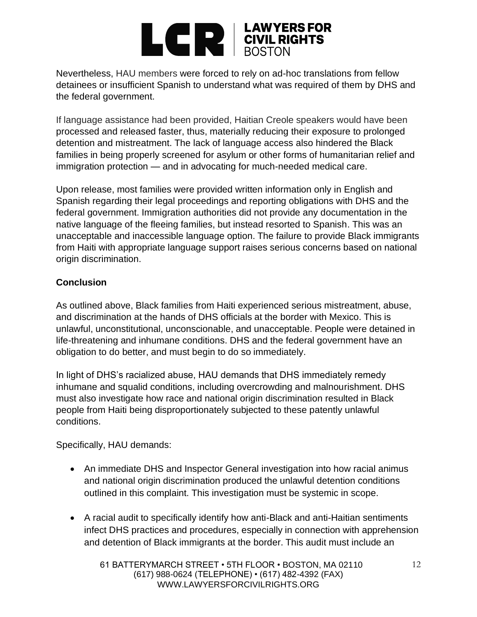## **EN EXPERIENCIAL PROPER SPORTS**

Nevertheless, HAU members were forced to rely on ad-hoc translations from fellow detainees or insufficient Spanish to understand what was required of them by DHS and the federal government.

If language assistance had been provided, Haitian Creole speakers would have been processed and released faster, thus, materially reducing their exposure to prolonged detention and mistreatment. The lack of language access also hindered the Black families in being properly screened for asylum or other forms of humanitarian relief and immigration protection — and in advocating for much-needed medical care.

Upon release, most families were provided written information only in English and Spanish regarding their legal proceedings and reporting obligations with DHS and the federal government. Immigration authorities did not provide any documentation in the native language of the fleeing families, but instead resorted to Spanish. This was an unacceptable and inaccessible language option. The failure to provide Black immigrants from Haiti with appropriate language support raises serious concerns based on national origin discrimination.

## **Conclusion**

As outlined above, Black families from Haiti experienced serious mistreatment, abuse, and discrimination at the hands of DHS officials at the border with Mexico. This is unlawful, unconstitutional, unconscionable, and unacceptable. People were detained in life-threatening and inhumane conditions. DHS and the federal government have an obligation to do better, and must begin to do so immediately.

In light of DHS's racialized abuse, HAU demands that DHS immediately remedy inhumane and squalid conditions, including overcrowding and malnourishment. DHS must also investigate how race and national origin discrimination resulted in Black people from Haiti being disproportionately subjected to these patently unlawful conditions.

Specifically, HAU demands:

- An immediate DHS and Inspector General investigation into how racial animus and national origin discrimination produced the unlawful detention conditions outlined in this complaint. This investigation must be systemic in scope.
- A racial audit to specifically identify how anti-Black and anti-Haitian sentiments infect DHS practices and procedures, especially in connection with apprehension and detention of Black immigrants at the border. This audit must include an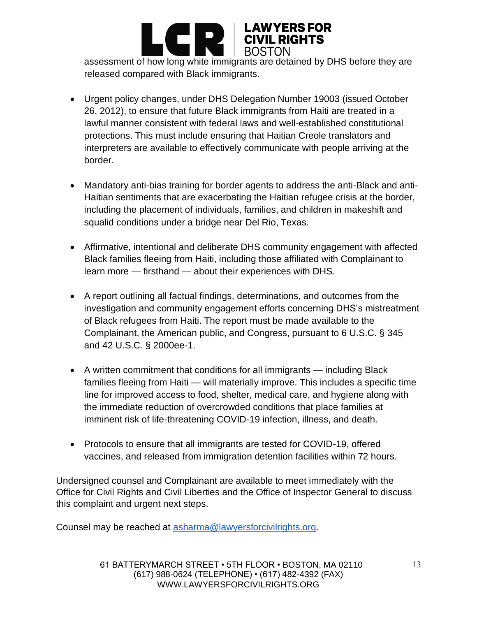

assessment of how long white immigrants are detained by DHS before they are released compared with Black immigrants.

- Urgent policy changes, under DHS Delegation Number 19003 (issued October 26, 2012), to ensure that future Black immigrants from Haiti are treated in a lawful manner consistent with federal laws and well-established constitutional protections. This must include ensuring that Haitian Creole translators and interpreters are available to effectively communicate with people arriving at the border.
- Mandatory anti-bias training for border agents to address the anti-Black and anti-Haitian sentiments that are exacerbating the Haitian refugee crisis at the border, including the placement of individuals, families, and children in makeshift and squalid conditions under a bridge near Del Rio, Texas.
- Affirmative, intentional and deliberate DHS community engagement with affected Black families fleeing from Haiti, including those affiliated with Complainant to learn more — firsthand — about their experiences with DHS.
- A report outlining all factual findings, determinations, and outcomes from the investigation and community engagement efforts concerning DHS's mistreatment of Black refugees from Haiti. The report must be made available to the Complainant, the American public, and Congress, pursuant to 6 U.S.C. § 345 and 42 U.S.C. § 2000ee-1.
- A written commitment that conditions for all immigrants including Black families fleeing from Haiti — will materially improve. This includes a specific time line for improved access to food, shelter, medical care, and hygiene along with the immediate reduction of overcrowded conditions that place families at imminent risk of life-threatening COVID-19 infection, illness, and death.
- Protocols to ensure that all immigrants are tested for COVID-19, offered vaccines, and released from immigration detention facilities within 72 hours.

Undersigned counsel and Complainant are available to meet immediately with the Office for Civil Rights and Civil Liberties and the Office of Inspector General to discuss this complaint and urgent next steps.

Counsel may be reached at [asharma@lawyersforcivilrights.org.](mailto:asharma@lawyersforcivilrights.org)